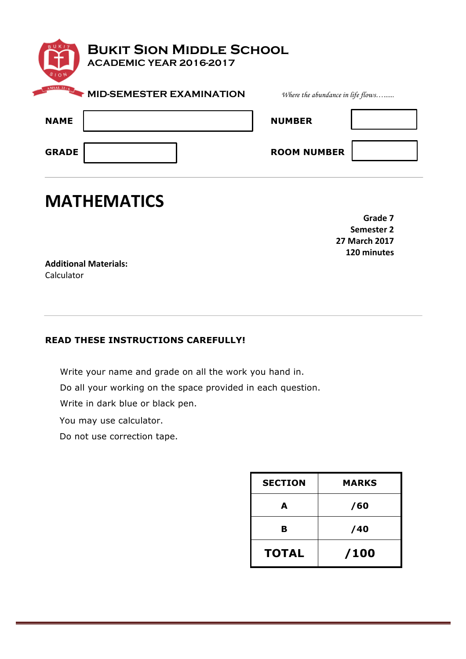| $s$ I O N    | <b>BUKIT SION MIDDLE SCHOOL</b><br><b>ACADEMIC YEAR 2016-2017</b> |                                   |  |
|--------------|-------------------------------------------------------------------|-----------------------------------|--|
|              | <b>MID-SEMESTER EXAMINATION</b>                                   | Where the abundance in life flows |  |
| <b>NAME</b>  |                                                                   | <b>NUMBER</b>                     |  |
| <b>GRADE</b> |                                                                   | <b>ROOM NUMBER</b>                |  |

# **MATHEMATICS**

**Grade 7 Semester 2 27 March 2017 120 minutes** 

**Additional Materials:** Calculator

### **READ THESE INSTRUCTIONS CAREFULLY!**

Write your name and grade on all the work you hand in.

Do all your working on the space provided in each question.

Write in dark blue or black pen.

You may use calculator.

Do not use correction tape.

| <b>SECTION</b> | <b>MARKS</b> |
|----------------|--------------|
| A              | /60          |
| в              | /40          |
| <b>TOTAL</b>   | /100         |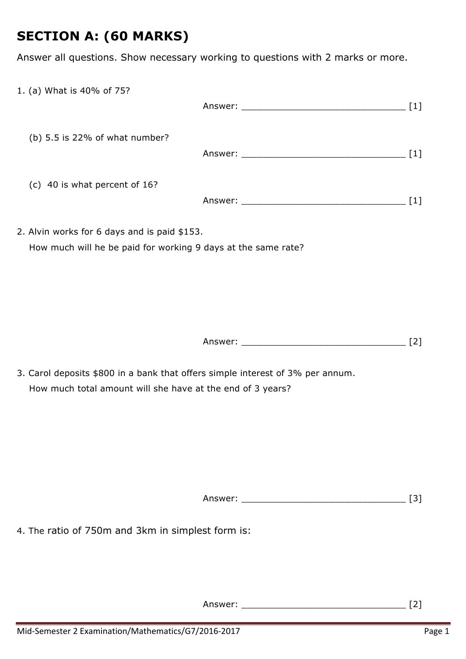## **SECTION A: (60 MARKS)**

Answer all questions. Show necessary working to questions with 2 marks or more.

| $\lceil 1 \rceil$ |
|-------------------|
|                   |
|                   |
|                   |

2. Alvin works for 6 days and is paid \$153. How much will he be paid for working 9 days at the same rate?

Answer: \_\_\_\_\_\_\_\_\_\_\_\_\_\_\_\_\_\_\_\_\_\_\_\_\_\_\_\_\_\_ [2]

3. Carol deposits \$800 in a bank that offers simple interest of 3% per annum. How much total amount will she have at the end of 3 years?

| $\sim$ $\sim$ $\sim$<br>. | . .<br>- | _ |
|---------------------------|----------|---|
|                           |          |   |

4. The ratio of 750m and 3km in simplest form is:

Answer: \_\_\_\_\_\_\_\_\_\_\_\_\_\_\_\_\_\_\_\_\_\_\_\_\_\_\_\_\_\_ [2]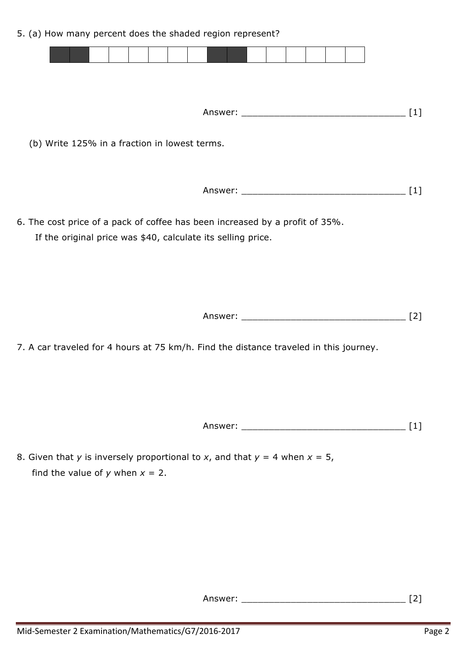5. (a) How many percent does the shaded region represent?

| 5. (a) How many percent does the shaded region represent?                                                                                    |
|----------------------------------------------------------------------------------------------------------------------------------------------|
|                                                                                                                                              |
|                                                                                                                                              |
| $[1]$                                                                                                                                        |
| (b) Write 125% in a fraction in lowest terms.                                                                                                |
| $[1]$                                                                                                                                        |
|                                                                                                                                              |
| 6. The cost price of a pack of coffee has been increased by a profit of 35%.<br>If the original price was \$40, calculate its selling price. |
| $[2]$                                                                                                                                        |
| 7. A car traveled for 4 hours at 75 km/h. Find the distance traveled in this journey.                                                        |
|                                                                                                                                              |
| $[1]$                                                                                                                                        |
| 8. Given that y is inversely proportional to x, and that $y = 4$ when $x = 5$ ,<br>find the value of y when $x = 2$ .                        |
|                                                                                                                                              |

| $\mathbf{v}$<br>11101<br>$\mathbf{\Gamma}$<br>-<br>_ |  |  |
|------------------------------------------------------|--|--|
|                                                      |  |  |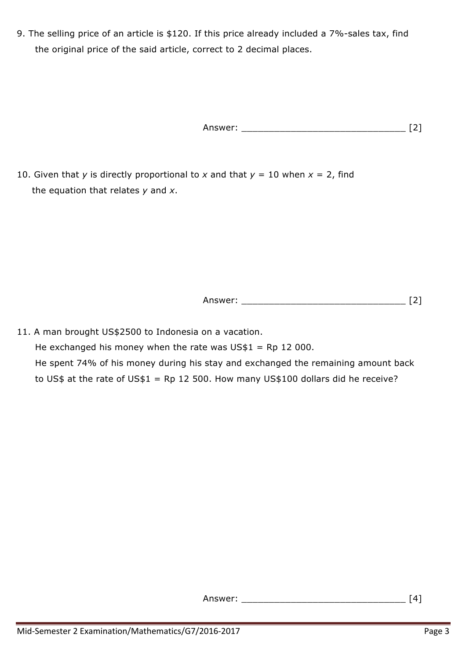9. The selling price of an article is \$120. If this price already included a 7%-sales tax, find the original price of the said article, correct to 2 decimal places.

Answer: \_\_\_\_\_\_\_\_\_\_\_\_\_\_\_\_\_\_\_\_\_\_\_\_\_\_\_\_\_\_ [2]

10. Given that *y* is directly proportional to *x* and that  $y = 10$  when  $x = 2$ , find the equation that relates *y* and *x*.

Answer: \_\_\_\_\_\_\_\_\_\_\_\_\_\_\_\_\_\_\_\_\_\_\_\_\_\_\_\_\_\_ [2]

11. A man brought US\$2500 to Indonesia on a vacation. He exchanged his money when the rate was  $US$1 = Rp 12 000$ . He spent 74% of his money during his stay and exchanged the remaining amount back to US\$ at the rate of US\$1 = Rp 12 500. How many US\$100 dollars did he receive?

Answer: \_\_\_\_\_\_\_\_\_\_\_\_\_\_\_\_\_\_\_\_\_\_\_\_\_\_\_\_\_\_ [4]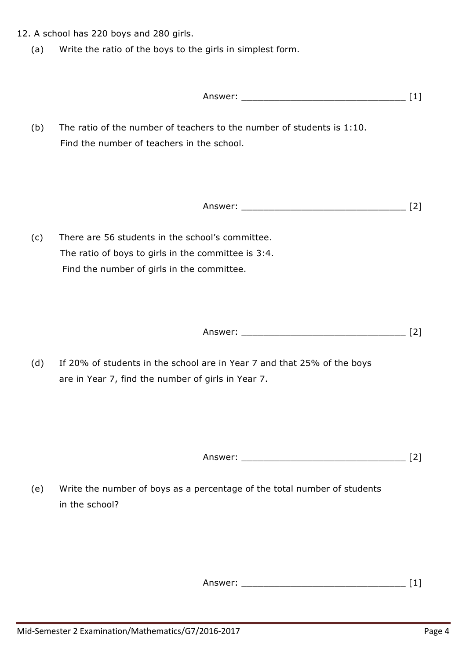in the school?

- 12. A school has 220 boys and 280 girls.
	- (a) Write the ratio of the boys to the girls in simplest form.

Answer: [1]

(b) The ratio of the number of teachers to the number of students is 1:10. Find the number of teachers in the school.

Answer: \_\_\_\_\_\_\_\_\_\_\_\_\_\_\_\_\_\_\_\_\_\_\_\_\_\_\_\_\_\_ [2]

(c) There are 56 students in the school's committee. The ratio of boys to girls in the committee is 3:4. Find the number of girls in the committee.

Answer: \_\_\_\_\_\_\_\_\_\_\_\_\_\_\_\_\_\_\_\_\_\_\_\_\_\_\_\_\_\_ [2]

(d) If 20% of students in the school are in Year 7 and that 25% of the boys are in Year 7, find the number of girls in Year 7.

(e) Write the number of boys as a percentage of the total number of students

Answer: \_\_\_\_\_\_\_\_\_\_\_\_\_\_\_\_\_\_\_\_\_\_\_\_\_\_\_\_\_\_ [2]

Answer: \_\_\_\_\_\_\_\_\_\_\_\_\_\_\_\_\_\_\_\_\_\_\_\_\_\_\_\_\_\_ [1]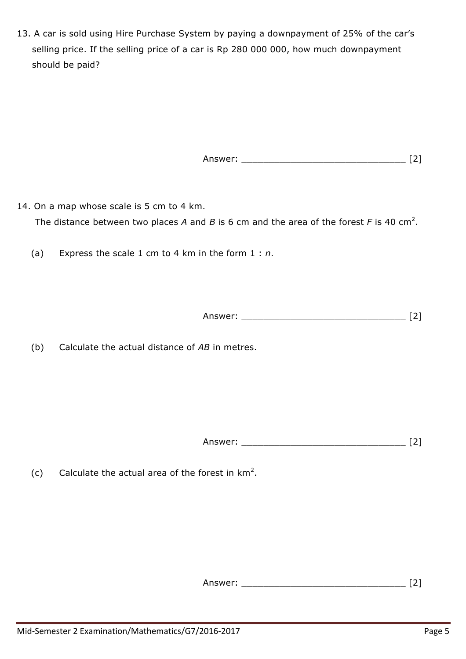13. A car is sold using Hire Purchase System by paying a downpayment of 25% of the car's selling price. If the selling price of a car is Rp 280 000 000, how much downpayment should be paid?

Answer: \_\_\_\_\_\_\_\_\_\_\_\_\_\_\_\_\_\_\_\_\_\_\_\_\_\_\_\_\_\_ [2]

- 14. On a map whose scale is 5 cm to 4 km. The distance between two places A and B is 6 cm and the area of the forest F is 40 cm<sup>2</sup>.
	- (a) Express the scale 1 cm to 4 km in the form 1 : *n*.

Answer: \_\_\_\_\_\_\_\_\_\_\_\_\_\_\_\_\_\_\_\_\_\_\_\_\_\_\_\_\_\_ [2]

(b) Calculate the actual distance of *AB* in metres.

Answer: \_\_\_\_\_\_\_\_\_\_\_\_\_\_\_\_\_\_\_\_\_\_\_\_\_\_\_\_\_\_ [2]

(c) Calculate the actual area of the forest in  $km^2$ .

Answer: \_\_\_\_\_\_\_\_\_\_\_\_\_\_\_\_\_\_\_\_\_\_\_\_\_\_\_\_\_\_ [2]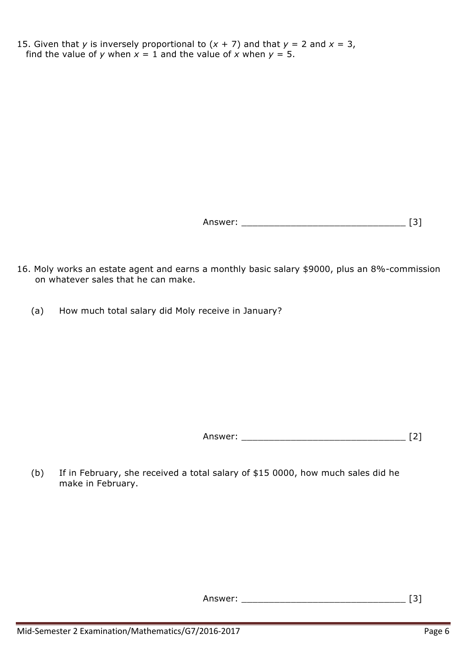15. Given that *y* is inversely proportional to  $(x + 7)$  and that  $y = 2$  and  $x = 3$ , find the value of *y* when  $x = 1$  and the value of *x* when  $y = 5$ .

Answer: \_\_\_\_\_\_\_\_\_\_\_\_\_\_\_\_\_\_\_\_\_\_\_\_\_\_\_\_\_\_ [3]

- 16. Moly works an estate agent and earns a monthly basic salary \$9000, plus an 8%-commission on whatever sales that he can make.
	- (a) How much total salary did Moly receive in January?

Answer: \_\_\_\_\_\_\_\_\_\_\_\_\_\_\_\_\_\_\_\_\_\_\_\_\_\_\_\_\_\_ [2]

(b) If in February, she received a total salary of \$15 0000, how much sales did he make in February.

Answer: \_\_\_\_\_\_\_\_\_\_\_\_\_\_\_\_\_\_\_\_\_\_\_\_\_\_\_\_\_\_ [3]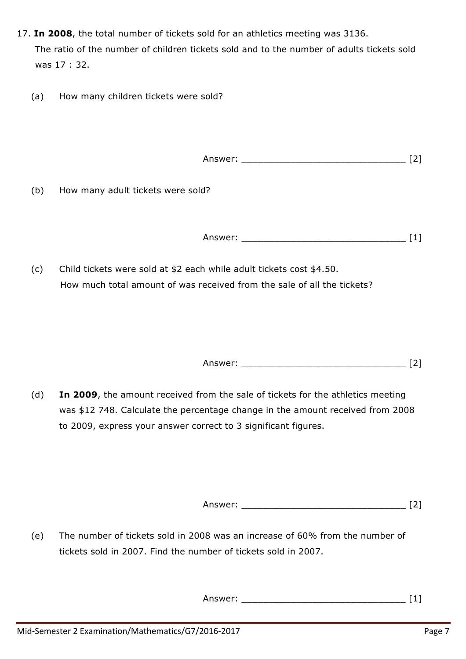- 17. **In 2008**, the total number of tickets sold for an athletics meeting was 3136. The ratio of the number of children tickets sold and to the number of adults tickets sold was 17 : 32.
	- (a) How many children tickets were sold?

Answer: \_\_\_\_\_\_\_\_\_\_\_\_\_\_\_\_\_\_\_\_\_\_\_\_\_\_\_\_\_\_ [2]

(b) How many adult tickets were sold?

Answer: \_\_\_\_\_\_\_\_\_\_\_\_\_\_\_\_\_\_\_\_\_\_\_\_\_\_\_\_\_\_ [1]

(c) Child tickets were sold at \$2 each while adult tickets cost \$4.50. How much total amount of was received from the sale of all the tickets?

Answer: \_\_\_\_\_\_\_\_\_\_\_\_\_\_\_\_\_\_\_\_\_\_\_\_\_\_\_\_\_\_ [2]

(d) **In 2009**, the amount received from the sale of tickets for the athletics meeting was \$12 748. Calculate the percentage change in the amount received from 2008 to 2009, express your answer correct to 3 significant figures.

Answer: [2]

(e) The number of tickets sold in 2008 was an increase of 60% from the number of tickets sold in 2007. Find the number of tickets sold in 2007.

Answer: \_\_\_\_\_\_\_\_\_\_\_\_\_\_\_\_\_\_\_\_\_\_\_\_\_\_\_\_\_\_ [1]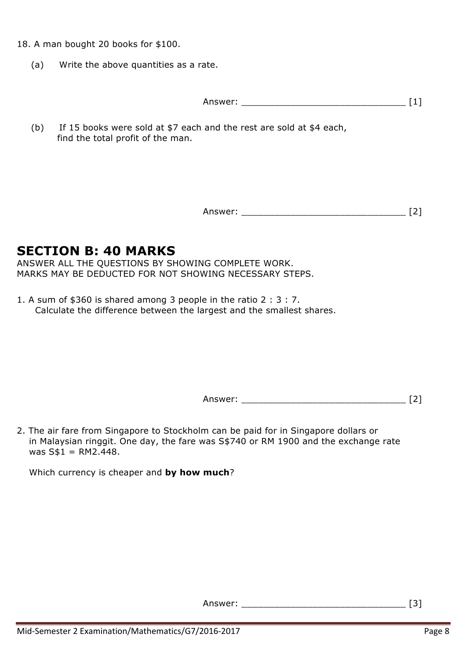18. A man bought 20 books for \$100.

(a) Write the above quantities as a rate.

Answer: [1]

(b) If 15 books were sold at \$7 each and the rest are sold at \$4 each, find the total profit of the man.

Answer: \_\_\_\_\_\_\_\_\_\_\_\_\_\_\_\_\_\_\_\_\_\_\_\_\_\_\_\_\_\_ [2]

### **SECTION B: 40 MARKS**

ANSWER ALL THE QUESTIONS BY SHOWING COMPLETE WORK. MARKS MAY BE DEDUCTED FOR NOT SHOWING NECESSARY STEPS.

1. A sum of \$360 is shared among 3 people in the ratio 2 : 3 : 7. Calculate the difference between the largest and the smallest shares.

Answer: [2]

2. The air fare from Singapore to Stockholm can be paid for in Singapore dollars or in Malaysian ringgit. One day, the fare was S\$740 or RM 1900 and the exchange rate was  $S$1 = RM2.448$ .

Which currency is cheaper and **by how much**?

Answer: \_\_\_\_\_\_\_\_\_\_\_\_\_\_\_\_\_\_\_\_\_\_\_\_\_\_\_\_\_\_ [3]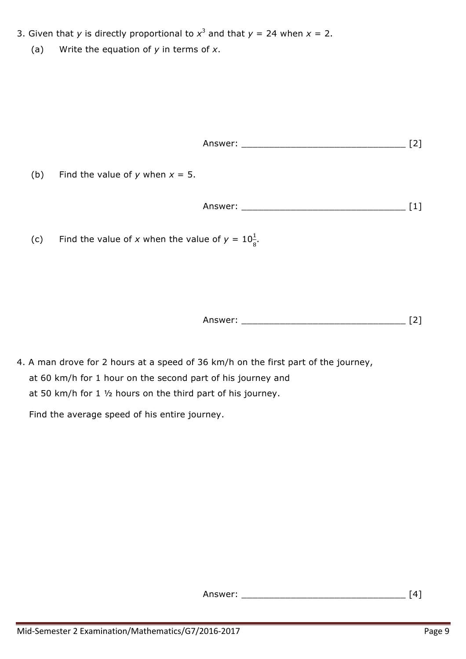- 3. Given that *y* is directly proportional to  $x^3$  and that  $y = 24$  when  $x = 2$ .
	- (a) Write the equation of *y* in terms of *x*.

| Answer:<br>$\cdot$ |  |  |  |
|--------------------|--|--|--|
|--------------------|--|--|--|

(b) Find the value of  $y$  when  $x = 5$ .

Answer: \_\_\_\_\_\_\_\_\_\_\_\_\_\_\_\_\_\_\_\_\_\_\_\_\_\_\_\_\_\_ [1]

(c) Find the value of *x* when the value of  $y = 10\frac{1}{8}$ .

Answer: \_\_\_\_\_\_\_\_\_\_\_\_\_\_\_\_\_\_\_\_\_\_\_\_\_\_\_\_\_\_ [2]

4. A man drove for 2 hours at a speed of 36 km/h on the first part of the journey, at 60 km/h for 1 hour on the second part of his journey and at 50 km/h for 1 ½ hours on the third part of his journey.

Find the average speed of his entire journey.

Answer: \_\_\_\_\_\_\_\_\_\_\_\_\_\_\_\_\_\_\_\_\_\_\_\_\_\_\_\_\_\_ [4]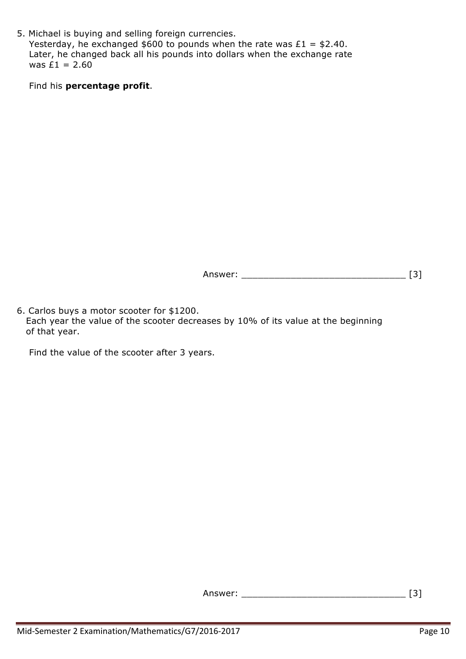5. Michael is buying and selling foreign currencies. Yesterday, he exchanged  $$600$  to pounds when the rate was £1 = \$2.40. Later, he changed back all his pounds into dollars when the exchange rate was  $£1 = 2.60$ 

Find his **percentage profit**.

Answer: \_\_\_\_\_\_\_\_\_\_\_\_\_\_\_\_\_\_\_\_\_\_\_\_\_\_\_\_\_\_ [3]

6. Carlos buys a motor scooter for \$1200. Each year the value of the scooter decreases by 10% of its value at the beginning of that year.

Find the value of the scooter after 3 years.

Answer: \_\_\_\_\_\_\_\_\_\_\_\_\_\_\_\_\_\_\_\_\_\_\_\_\_\_\_\_\_\_ [3]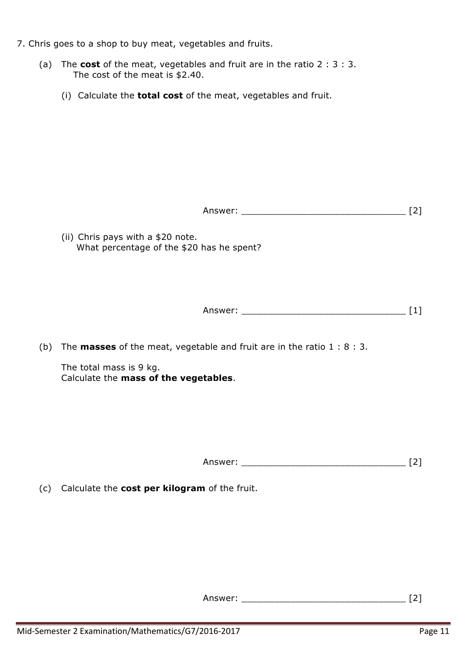- 7. Chris goes to a shop to buy meat, vegetables and fruits.
	- (a) The **cost** of the meat, vegetables and fruit are in the ratio 2 : 3 : 3. The cost of the meat is \$2.40.
		- (i) Calculate the **total cost** of the meat, vegetables and fruit.

Answer: \_\_\_\_\_\_\_\_\_\_\_\_\_\_\_\_\_\_\_\_\_\_\_\_\_\_\_\_\_\_ [2]

(ii) Chris pays with a \$20 note. What percentage of the \$20 has he spent?

Answer: \_\_\_\_\_\_\_\_\_\_\_\_\_\_\_\_\_\_\_\_\_\_\_\_\_\_\_\_\_\_ [1]

(b) The **masses** of the meat, vegetable and fruit are in the ratio 1 : 8 : 3.

The total mass is 9 kg. Calculate the **mass of the vegetables**.

Answer: \_\_\_\_\_\_\_\_\_\_\_\_\_\_\_\_\_\_\_\_\_\_\_\_\_\_\_\_\_\_ [2]

(c) Calculate the **cost per kilogram** of the fruit.

Answer: \_\_\_\_\_\_\_\_\_\_\_\_\_\_\_\_\_\_\_\_\_\_\_\_\_\_\_\_\_\_ [2]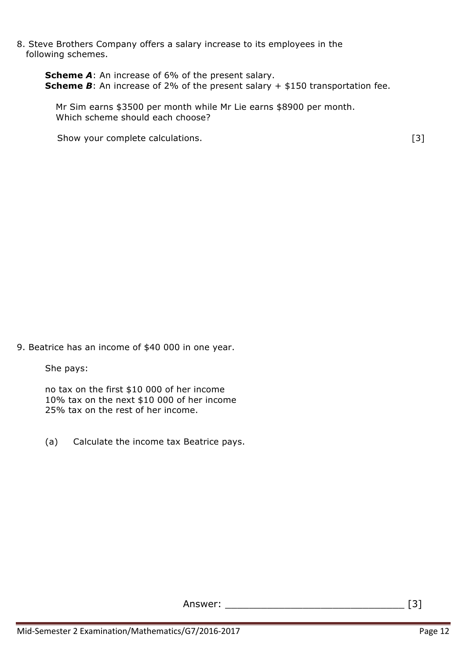8. Steve Brothers Company offers a salary increase to its employees in the following schemes.

**Scheme** *A*: An increase of 6% of the present salary. **Scheme B**: An increase of 2% of the present salary + \$150 transportation fee.

Mr Sim earns \$3500 per month while Mr Lie earns \$8900 per month. Which scheme should each choose?

Show your complete calculations. [3]

9. Beatrice has an income of \$40 000 in one year.

She pays:

no tax on the first \$10 000 of her income 10% tax on the next \$10 000 of her income 25% tax on the rest of her income.

(a) Calculate the income tax Beatrice pays.

Answer: [3]